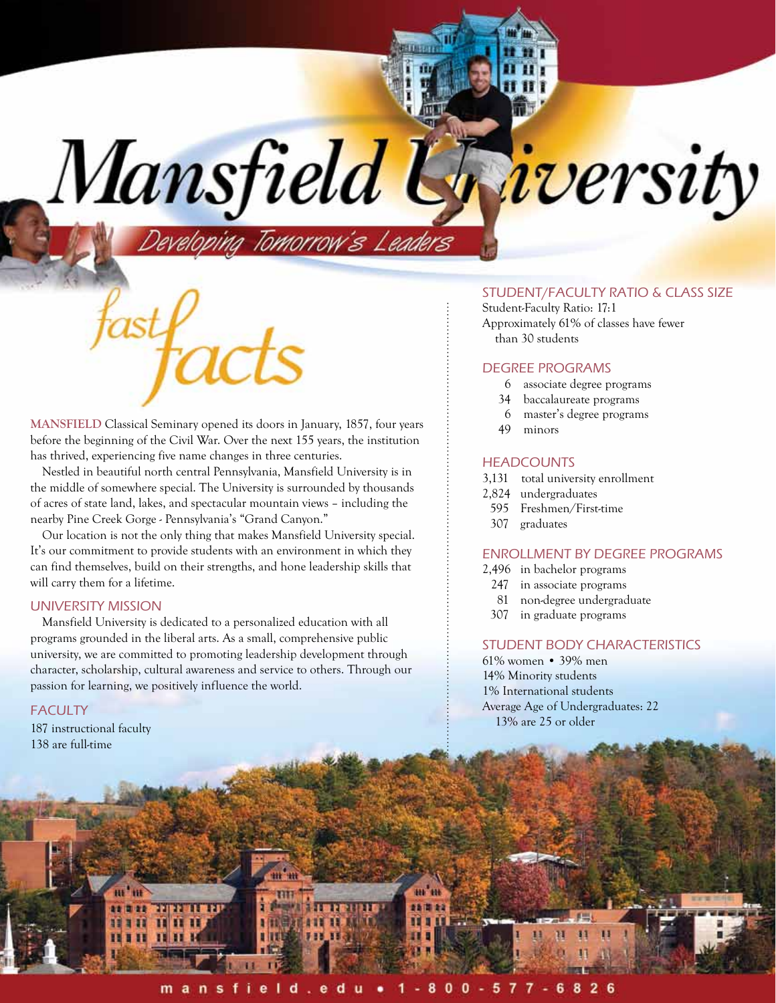**Mansfield** Classical Seminary opened its doors in January, 1857, four years before the beginning of the Civil War. Over the next 155 years, the institution has thrived, experiencing five name changes in three centuries.

Mansfield l

loping Tomorrow's Leaders

Nestled in beautiful north central Pennsylvania, Mansfield University is in the middle of somewhere special. The University is surrounded by thousands of acres of state land, lakes, and spectacular mountain views – including the nearby Pine Creek Gorge - Pennsylvania's "Grand Canyon."

Our location is not the only thing that makes Mansfield University special. It's our commitment to provide students with an environment in which they can find themselves, build on their strengths, and hone leadership skills that will carry them for a lifetime.

## University Mission

Mansfield University is dedicated to a personalized education with all programs grounded in the liberal arts. As a small, comprehensive public university, we are committed to promoting leadership development through character, scholarship, cultural awareness and service to others. Through our passion for learning, we positively influence the world.

## **FACULTY**

187 instructional faculty 138 are full-time

**HE'IH** 

**as D-as** 

111

H

FEII

Ш ш

пит

# Student/Faculty Ratio & Class Size

*iversity* 

Student-Faculty Ratio: 17:1 Approximately 61% of classes have fewer than 30 students

#### Degree Programs

- 6 associate degree programs
- 34 baccalaureate programs
- 6 master's degree programs
- 49 minors

#### **HEADCOUNTS**

- 3,131 total university enrollment
- 2,824 undergraduates
- 595 Freshmen/First-time
- 307 graduates

## Enrollment by Degree programs

- 2,496 in bachelor programs
- 247 in associate programs
- 81 non-degree undergraduate
- 307 in graduate programs

### Student Body Characteristics

61% women • 39% men 14% Minority students 1% International students Average Age of Undergraduates: 22 13% are 25 or older

m